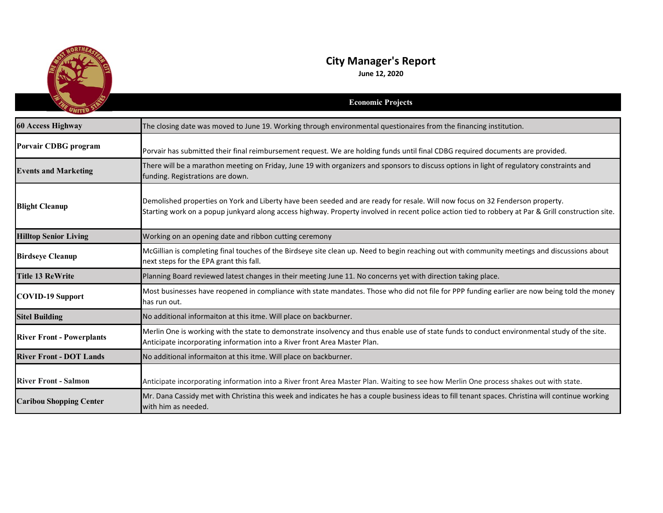

## **City Manager's Report**

**June 12, 2020**

|                                  | <b>Economic Projects</b>                                                                                                                                                                                                                                                             |
|----------------------------------|--------------------------------------------------------------------------------------------------------------------------------------------------------------------------------------------------------------------------------------------------------------------------------------|
| <b>60 Access Highway</b>         | The closing date was moved to June 19. Working through environmental questionaires from the financing institution.                                                                                                                                                                   |
| <b>Porvair CDBG</b> program      | Porvair has submitted their final reimbursement request. We are holding funds until final CDBG required documents are provided.                                                                                                                                                      |
| <b>Events and Marketing</b>      | There will be a marathon meeting on Friday, June 19 with organizers and sponsors to discuss options in light of regulatory constraints and<br>funding. Registrations are down.                                                                                                       |
| <b>Blight Cleanup</b>            | Demolished properties on York and Liberty have been seeded and are ready for resale. Will now focus on 32 Fenderson property.<br>Starting work on a popup junkyard along access highway. Property involved in recent police action tied to robbery at Par & Grill construction site. |
| <b>Hilltop Senior Living</b>     | Working on an opening date and ribbon cutting ceremony                                                                                                                                                                                                                               |
| <b>Birdseye Cleanup</b>          | McGillian is completing final touches of the Birdseye site clean up. Need to begin reaching out with community meetings and discussions about<br>next steps for the EPA grant this fall.                                                                                             |
| <b>Title 13 ReWrite</b>          | Planning Board reviewed latest changes in their meeting June 11. No concerns yet with direction taking place.                                                                                                                                                                        |
| <b>COVID-19 Support</b>          | Most businesses have reopened in compliance with state mandates. Those who did not file for PPP funding earlier are now being told the money<br>has run out.                                                                                                                         |
| <b>Sitel Building</b>            | No additional informaiton at this itme. Will place on backburner.                                                                                                                                                                                                                    |
| <b>River Front - Powerplants</b> | Merlin One is working with the state to demonstrate insolvency and thus enable use of state funds to conduct environmental study of the site.<br>Anticipate incorporating information into a River front Area Master Plan.                                                           |
| <b>River Front - DOT Lands</b>   | No additional informaiton at this itme. Will place on backburner.                                                                                                                                                                                                                    |
| <b>River Front - Salmon</b>      | Anticipate incorporating information into a River front Area Master Plan. Waiting to see how Merlin One process shakes out with state.                                                                                                                                               |
| <b>Caribou Shopping Center</b>   | Mr. Dana Cassidy met with Christina this week and indicates he has a couple business ideas to fill tenant spaces. Christina will continue working<br>with him as needed.                                                                                                             |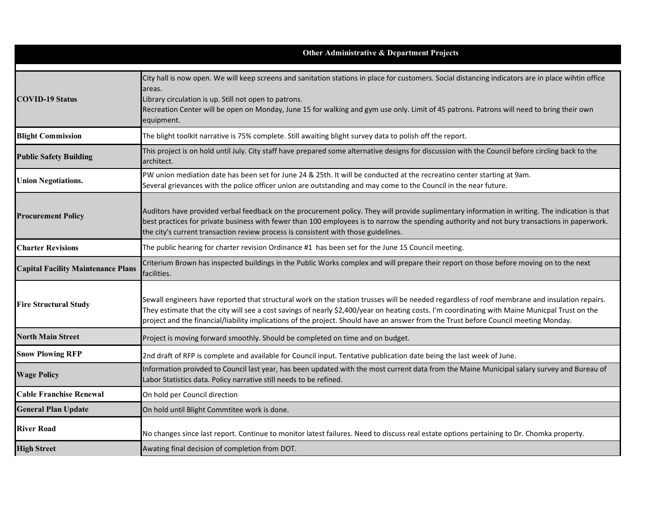|                                           | Other Administrative & Department Projects                                                                                                                                                                                                                                                                                                                                                                                              |
|-------------------------------------------|-----------------------------------------------------------------------------------------------------------------------------------------------------------------------------------------------------------------------------------------------------------------------------------------------------------------------------------------------------------------------------------------------------------------------------------------|
| <b>COVID-19 Status</b>                    | City hall is now open. We will keep screens and sanitation stations in place for customers. Social distancing indicators are in place wihtin office<br>areas.<br>Library circulation is up. Still not open to patrons.<br>Recreation Center will be open on Monday, June 15 for walking and gym use only. Limit of 45 patrons. Patrons will need to bring their own<br>equipment.                                                       |
| <b>Blight Commission</b>                  | The blight toolkit narrative is 75% complete. Still awaiting blight survey data to polish off the report.                                                                                                                                                                                                                                                                                                                               |
| <b>Public Safety Building</b>             | This project is on hold until July. City staff have prepared some alternative designs for discussion with the Council before circling back to the<br>architect.                                                                                                                                                                                                                                                                         |
| <b>Union Negotiations.</b>                | PW union mediation date has been set for June 24 & 25th. It will be conducted at the recreatino center starting at 9am.<br>Several grievances with the police officer union are outstanding and may come to the Council in the near future.                                                                                                                                                                                             |
| <b>Procurement Policy</b>                 | Auditors have provided verbal feedback on the procurement policy. They will provide suplimentary information in writing. The indication is that<br>best practices for private business with fewer than 100 employees is to narrow the spending authority and not bury transactions in paperwork.<br>the city's current transaction review process is consistent with those guidelines.                                                  |
| <b>Charter Revisions</b>                  | The public hearing for charter revision Ordinance #1 has been set for the June 15 Council meeting.                                                                                                                                                                                                                                                                                                                                      |
| <b>Capital Facility Maintenance Plans</b> | Criterium Brown has inspected buildings in the Public Works complex and will prepare their report on those before moving on to the next<br>facilities.                                                                                                                                                                                                                                                                                  |
| <b>Fire Structural Study</b>              | Sewall engineers have reported that structural work on the station trusses will be needed regardless of roof membrane and insulation repairs.<br>They estimate that the city will see a cost savings of nearly \$2,400/year on heating costs. I'm coordinating with Maine Municpal Trust on the<br>project and the financial/liability implications of the project. Should have an answer from the Trust before Council meeting Monday. |
| <b>North Main Street</b>                  | Project is moving forward smoothly. Should be completed on time and on budget.                                                                                                                                                                                                                                                                                                                                                          |
| <b>Snow Plowing RFP</b>                   | 2nd draft of RFP is complete and available for Council input. Tentative publication date being the last week of June.                                                                                                                                                                                                                                                                                                                   |
| <b>Wage Policy</b>                        | Information proivded to Council last year, has been updated with the most current data from the Maine Municipal salary survey and Bureau of<br>Labor Statistics data. Policy narrative still needs to be refined.                                                                                                                                                                                                                       |
| <b>Cable Franchise Renewal</b>            | On hold per Council direction                                                                                                                                                                                                                                                                                                                                                                                                           |
| <b>General Plan Update</b>                | On hold until Blight Commtitee work is done.                                                                                                                                                                                                                                                                                                                                                                                            |
| <b>River Road</b>                         | No changes since last report. Continue to monitor latest failures. Need to discuss real estate options pertaining to Dr. Chomka property.                                                                                                                                                                                                                                                                                               |
| <b>High Street</b>                        | Awating final decision of completion from DOT.                                                                                                                                                                                                                                                                                                                                                                                          |